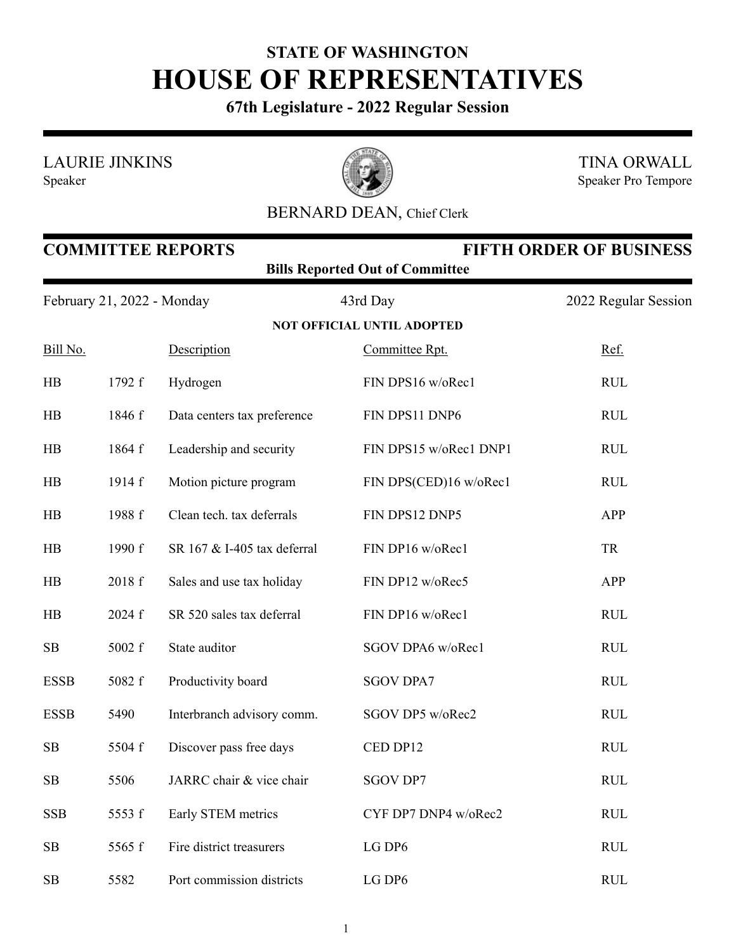## **STATE OF WASHINGTON HOUSE OF REPRESENTATIVES**

**67th Legislature - 2022 Regular Session**

LAURIE JINKINS

Speaker



TINA ORWALL Speaker Pro Tempore

## BERNARD DEAN, Chief Clerk

| <b>COMMITTEE REPORTS</b><br><b>FIFTH ORDER OF BUSINESS</b><br><b>Bills Reported Out of Committee</b> |        |                             |                                   |                      |  |  |  |
|------------------------------------------------------------------------------------------------------|--------|-----------------------------|-----------------------------------|----------------------|--|--|--|
| February 21, 2022 - Monday                                                                           |        |                             | 43rd Day                          | 2022 Regular Session |  |  |  |
|                                                                                                      |        |                             | <b>NOT OFFICIAL UNTIL ADOPTED</b> |                      |  |  |  |
| Bill No.                                                                                             |        | Description                 | Committee Rpt.                    | Ref.                 |  |  |  |
| <b>HB</b>                                                                                            | 1792 f | Hydrogen                    | FIN DPS16 w/oRec1                 | <b>RUL</b>           |  |  |  |
| HB                                                                                                   | 1846 f | Data centers tax preference | FIN DPS11 DNP6                    | <b>RUL</b>           |  |  |  |
| <b>HB</b>                                                                                            | 1864 f | Leadership and security     | FIN DPS15 w/oRec1 DNP1            | <b>RUL</b>           |  |  |  |
| HB                                                                                                   | 1914 f | Motion picture program      | FIN DPS(CED)16 w/oRec1            | <b>RUL</b>           |  |  |  |
| HB                                                                                                   | 1988 f | Clean tech. tax deferrals   | FIN DPS12 DNP5                    | APP                  |  |  |  |
| <b>HB</b>                                                                                            | 1990 f | SR 167 & I-405 tax deferral | FIN DP16 w/oRec1                  | <b>TR</b>            |  |  |  |
| <b>HB</b>                                                                                            | 2018 f | Sales and use tax holiday   | FIN DP12 w/oRec5                  | APP                  |  |  |  |
| <b>HB</b>                                                                                            | 2024 f | SR 520 sales tax deferral   | FIN DP16 w/oRec1                  | <b>RUL</b>           |  |  |  |
| SB                                                                                                   | 5002 f | State auditor               | SGOV DPA6 w/oRec1                 | <b>RUL</b>           |  |  |  |
| <b>ESSB</b>                                                                                          | 5082 f | Productivity board          | <b>SGOV DPA7</b>                  | <b>RUL</b>           |  |  |  |
| <b>ESSB</b>                                                                                          | 5490   | Interbranch advisory comm.  | SGOV DP5 w/oRec2                  | <b>RUL</b>           |  |  |  |
| SB                                                                                                   | 5504 f | Discover pass free days     | CED DP12                          | <b>RUL</b>           |  |  |  |
| SB                                                                                                   | 5506   | JARRC chair & vice chair    | <b>SGOV DP7</b>                   | <b>RUL</b>           |  |  |  |
| <b>SSB</b>                                                                                           | 5553 f | Early STEM metrics          | CYF DP7 DNP4 w/oRec2              | <b>RUL</b>           |  |  |  |
| SB                                                                                                   | 5565 f | Fire district treasurers    | LG DP6                            | <b>RUL</b>           |  |  |  |
| SB                                                                                                   | 5582   | Port commission districts   | LG DP6                            | <b>RUL</b>           |  |  |  |